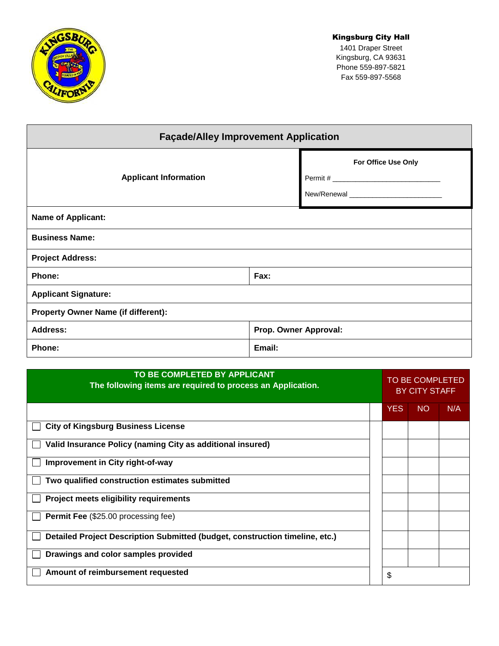

## Kingsburg City Hall

1401 Draper Street Kingsburg, CA 93631 Phone 559-897-5821 Fax 559-897-5568

| <b>Façade/Alley Improvement Application</b> |                       |                     |  |  |  |
|---------------------------------------------|-----------------------|---------------------|--|--|--|
| <b>Applicant Information</b>                |                       | For Office Use Only |  |  |  |
|                                             |                       |                     |  |  |  |
|                                             |                       |                     |  |  |  |
| <b>Name of Applicant:</b>                   |                       |                     |  |  |  |
| <b>Business Name:</b>                       |                       |                     |  |  |  |
| <b>Project Address:</b>                     |                       |                     |  |  |  |
| Phone:                                      | Fax:                  |                     |  |  |  |
| <b>Applicant Signature:</b>                 |                       |                     |  |  |  |
| <b>Property Owner Name (if different):</b>  |                       |                     |  |  |  |
| <b>Address:</b>                             | Prop. Owner Approval: |                     |  |  |  |
| Phone:                                      | Email:                |                     |  |  |  |

| TO BE COMPLETED BY APPLICANT<br>The following items are required to process an Application. |  | <b>TO BE COMPLETED</b><br><b>BY CITY STAFF</b> |           |     |
|---------------------------------------------------------------------------------------------|--|------------------------------------------------|-----------|-----|
|                                                                                             |  | <b>YES</b>                                     | <b>NO</b> | N/A |
| <b>City of Kingsburg Business License</b>                                                   |  |                                                |           |     |
| Valid Insurance Policy (naming City as additional insured)                                  |  |                                                |           |     |
| Improvement in City right-of-way                                                            |  |                                                |           |     |
| Two qualified construction estimates submitted                                              |  |                                                |           |     |
| <b>Project meets eligibility requirements</b>                                               |  |                                                |           |     |
| <b>Permit Fee</b> (\$25.00 processing fee)                                                  |  |                                                |           |     |
| Detailed Project Description Submitted (budget, construction timeline, etc.)                |  |                                                |           |     |
| Drawings and color samples provided                                                         |  |                                                |           |     |
| Amount of reimbursement requested                                                           |  | \$                                             |           |     |